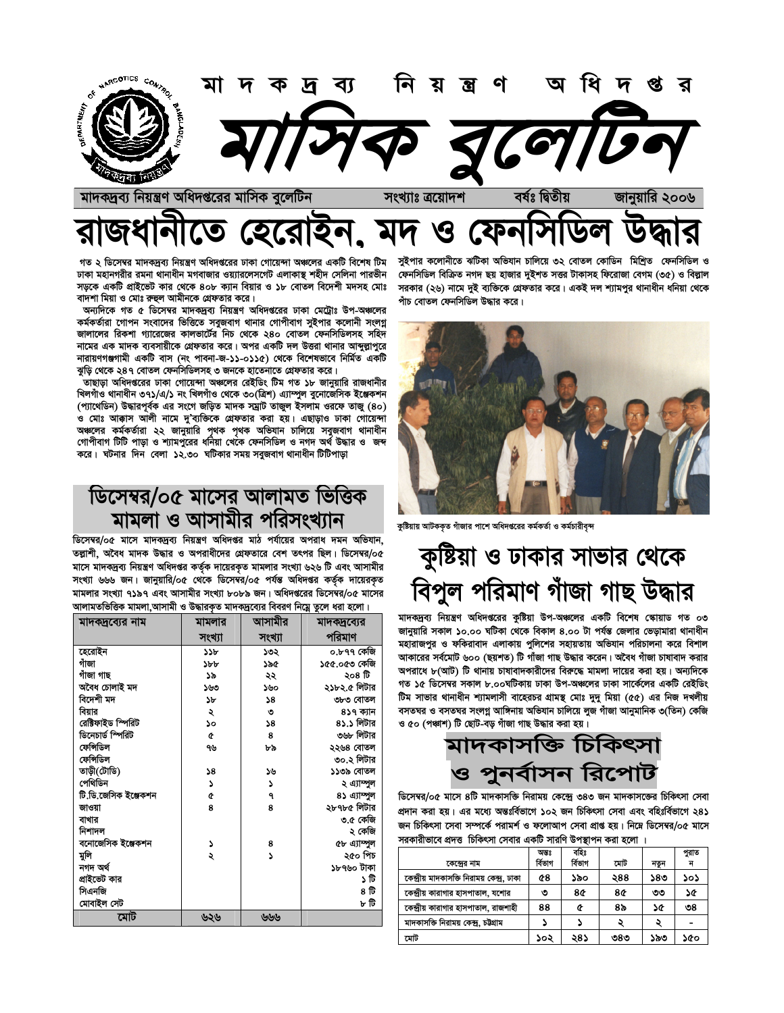

#### $\sum_{i=1}^{n}$  $\boldsymbol{\mathcal{G}}$ 96

গত ২ ডিসেম্বর মাদকদ্রব্য নিয়ন্ত্রণ অধিদপ্তরের ঢাকা গোয়েন্দা অঞ্চলের একটি বিশেষ টিম ঢাকা মহানগরীর রমনা থানাধীন মগবাজার ওয়্যারলেসগেট এলাকাস্ত শহীদ সেলিনা পারভীন সড়কে একটি প্রাইভেট কার থেকে ৪০৮ ক্যান বিয়ার ও ১৮ বোতল বিদেশী মদসহ মোঃ বাদশা মিয়া ও মোঃ রুহুল আমীনকে গ্রেফতার করে।

অন্যদিকে গত ৫ ডিসেম্বর মাদকদ্রব্য নিয়ন্ত্রণ অধিদপ্তরের ঢাকা মেট্রোঃ উপ-অঞ্চলের কর্মকর্তারা গোপন সংবাদের ভিত্তিতে সবুজবাগ থানার গোপীবাগ সুইপার কলোনী সংলগ্ন জালালের রিকশা গ্যারেজের কালভার্টের নিচ থেকে ২৪০ বোতল ফেনসিডিলসহ সহিদ নামের এক মাদক ব্যবসায়ীকে গ্রেফতার করে। অপর একটি দল উত্তরা থানার আব্দুল্লাপুরে নারায়ণগঞ্জগামী একটি বাস (নং পাবনা-জ-১১-০১১৫) থেকে বিশেষভাবে নির্মিত একটি ঝুড়ি থেকে ২৪৭ বোতল ফেনসিডিলসহ ৩ জনকে হাতেনাতে গ্রেফতার করে।

তাছাড়া অধিদপ্তরের ঢাকা গোয়েন্দা অঞ্চলের রেইডিং টিম গত ১৮ জানুয়ারি রাজধানীর খিলগাঁও থানাধীন ৩৭১/এ/১ নং খিলগাঁও থেকে ৩০(ত্রিশ) এ্যাম্পুল বুনোজেসিক ইঞ্জেকশন (প্যাথেডিন) উদ্ধারপূর্বক এর সংগে জড়িত মাদক সম্রাট তাজুল ইসলাম ওরফে তাজু (80) ও মোঃ আক্কাস আলী নামে দু'ব্যক্তিকে গ্রেফতার করা হয়। এছাড়াও ঢাকা গোয়েন্দা অঞ্চলের কর্মকর্তারা ২২ জানুয়ারি পৃথক পৃথক অভিযান চালিয়ে সবুজবাগ থানাধীন গোপীবাগ টিটি পাড়া ও শ্যামপুরের ধনিয়া খেকে ফেনসিডিল ও নগদ অর্থ উদ্ধার ও জব্দ করে। ঘটনার দিন বেলা ১২.৩০ ঘটিকার সময় সবুজবাগ থানাধীন টিটিপাড়া

## ডিসেম্বর/০৫ মাসের আলামত ভিত্তিক মামলা ও আসামীর পরিসংখ্যান

ডিসেম্বর/০৫ মাসে মাদকদ্রব্য নিয়ন্ত্রণ অধিদপ্তর মাঠ পর্যায়ের অপরাধ দমন অভিযান. তল্লাশী. অবৈধ মাদক উদ্ধার ও অপরাধীদের গ্রেফতারে বেশ তৎপর ছিল। ডিসেম্বর/০৫ মাসে মাদকদ্রব্য নিয়ন্ত্রণ অধিদপ্তর কর্তৃক দায়েরকৃত মামলার সংখ্যা ৬২৬ টি এবং আসামীর সংখ্যা ৬৬৬ জন। জানুয়ারি/০৫ থেকে ডিসেম্বর/০৫ পর্যন্ত অধিদপ্তর কর্তৃক দায়েরকৃত মামলার সংখ্যা ৭১৯৭ এবং আসামীর সংখ্যা ৮০৮৯ জন। অধিদগুরের ডিসেম্বর/০৫ মাসের আলামতভিত্তিক মামলা,আসামী ও উদ্ধারকৃত মাদকদ্রব্যের বিবরণ নিম্নে তুলে ধরা হলো।

| মাদক্ষব্যের নাম      | মামলার    | আসামীর | মাদকদ্রব্যের |
|----------------------|-----------|--------|--------------|
|                      | সংখ্যা    | সংখ্যা | পরিমাণ       |
| হেরোইন               | ১১৮       | ১৩২    | ০.৮৭৭ কেজি   |
| গাঁজা                | ১৮৮       | ১৯৫    | ১৫৫.০৫৩ কেজি |
| গাঁজা গাছ            | ১৯        | ২২     | ২০৪ টি       |
| অবৈধ চোলাই মদ        | ১৬৩       | ১৬০    | ২১৮২.৫ লিটার |
| বিদেশী মদ            | ১৮        | 58     | ৩৮৩ বোতল     |
| বিয়ার               | ২         | ৩      | ৪১৭ ক্যান    |
| রেক্টিফাইড স্পিরিট   | <b>So</b> | 38     | ৪১.১ লিটার   |
| ডিনেচার্ড স্পিরিট    | ¢         | 8      | ৩৬৮ লিটার    |
| ফেন্সিডিল            | ৭৬        | ৮৯     | ২২৬৪ বোতল    |
| ফেন্সিডিল            |           |        | ৩০.২ লিটার   |
| তাড়ী(টোডি)          | 58        | ১৬     | ১১৩৯ বোতল    |
| পেথিডিন              | S         | د      | ২ এ্যাম্পুল  |
| টি.ডি.জেসিক ইঞ্জেকশন | ¢         | ٩      | ৪১ এ্যাম্পুল |
| জাওয়া               | 8         | 8      | ২৮৭৮৫ লিটার  |
| বাখার                |           |        | ৩.৫ কেজি     |
| নিশাদল               |           |        | ২ কেজি       |
| বনোজেসিক ইঞ্জেকশন    | 2         | 8      | ৫৮ এ্যাম্পুল |
| মুলি                 | ২         | د      | ২৫০ পিচ      |
| নগদ অৰ্থ             |           |        | ১৮৭৬০ টাকা   |
| প্ৰাইভেট কার         |           |        | ১ টি         |
| সিএনজি               |           |        | ৪ টি         |
| মোবাইল সেট           |           |        | ৮ টি         |
| মোট                  | ৬২৬       | ৬৬৬    |              |

সুইপার কলোনীতে ঝটিকা অভিযান চালিয়ে ৩২ বোতল কোডিন মিশ্রিত ফেনসিডিল ও ফেনসিডিল বিক্রিত নগদ ছয় হাজার দুইশত সত্তর টাকাসহ ফিরোজা বেগম (৩৫) ও বিল্লাল সরকার (২৬) নামে দুই ব্যক্তিকে গ্রেফতার করে। একই দল শ্যামপুর থানাধীন ধনিয়া থেকে পাঁচ বোতল ফেনসিডিল উদ্ধার করে।



কুষ্টিয়ায় আটককৃত গাঁজার পাশে অধিদপ্তরের কর্মকর্তা ও কর্মচারীবৃন্দ

# কুষ্টিয়া ও ঢাকার সাভার থেকে বিপুল পরিমাণ গাঁজা গাছ উদ্ধার

মাদকদ্রব্য নিয়ন্ত্রণ অধিদপ্তরের কুষ্টিয়া উপ-অঞ্চলের একটি বিশেষ স্কোয়াড গত ০৩ জানুয়ারি সকাল ১০.০০ ঘটিকা থেকে বিকাল ৪.০০ টা পর্যন্ত জেলার ভেড়ামারা থানাধীন মহারাজপুর ও ফকিরাবাদ এলাকায় পুলিশের সহায়তায় অভিযান পরিচালনা করে বিশাল আকারের সর্বমোট ৬০০ (ছয়শত) টি গাঁজা গাছ উদ্ধার করেন। অবৈধ গাঁজা চাষাবাদ করার অপরাধে ৮(আট) টি থানায় চাষাবাদকারীদের বিরুদ্ধে মামলা দায়ের করা হয়। অন্যদিকে গত ১৫ ডিসেম্বর সকাল ৮.০০ঘটিকায় ঢাকা উপ-অঞ্চলের ঢাকা সার্কেলের একটি রেইডিং টিম সাভার থানাধীন শ্যামলাসী বাহেরচর গ্রামন্থ মোঃ দুদু মিয়া (৫৫) এর নিজ দখলীয় বসতঘর ও বসতঘর সংলগ্ন আঙ্গিনায় অভিযান চালিয়ে লুজ গাঁজা আনুমানিক ৩(তিন) কেজি ও ৫০ (পঞ্চাশ) টি ছোট-বড় গাঁজা গাছ উদ্ধার করা হয়।

## মাদকাসক্তি চিকিৎসা ও পুনর্বাসন রিপোট

ডিসেম্বর/০৫ মাসে ৪টি মাদকাসক্তি নিরাময় কেন্দ্রে ৩৪৩ জন মাদকাসজের চিকিৎসা সেবা প্রদান করা হয়। এর মধ্যে অন্তঃর্বিভাগে ১০২ জন চিকিৎসা সেবা এবং বহিঃর্বিভাগে ২৪১ জন চিকিৎসা সেবা সম্পর্কে পরামর্শ ও ফলোআপ সেবা প্রাপ্ত হয়। নিম্নে ডিসেম্বর/০৫ মাসে সরকারীভাবে প্রদত্ত চিকিৎসা সেবার একটি সারণি উপস্থাপন করা হলো ।

|                                             | অন্তঃ   | বহিঃ    |     |      | পুরাত |
|---------------------------------------------|---------|---------|-----|------|-------|
| কেন্দ্ৰের নাম                               | ৰ্বিভাগ | ৰ্বিভাগ | মোট | নতুন | ন     |
| কেন্দ্রীয় মাদকাসক্তি নিরাময় কেন্দ্র, ঢাকা | 48      | ১৯০     | ২88 | ১৪৩  | ১০১   |
| কেন্দ্রীয় কারাগার হাসপাতাল, যশোর           | ৩       | 8¢      | 8¢  | ৩৩   | ১৫    |
| কেন্দ্রীয় কারাগার হাসপাতাল, রাজশাহী        | 88      | œ       | ৪৯  | ነው   | ৩8    |
| মাদকাসক্তি নিরাময় কেন্দ্র, চউগ্রাম         |         |         |     | د    |       |
| মোট                                         | ১০২     | ২৪১     | ৩৪৩ | ১৯৩  | ১৫০   |